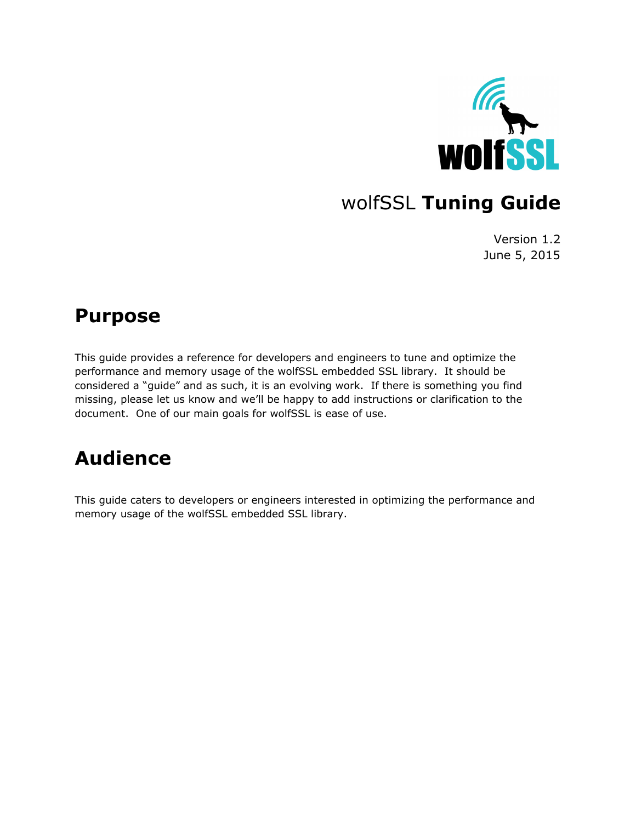

# wolfSSL **Tuning Guide**

Version 1.2 June 5, 2015

### **Purpose**

This guide provides a reference for developers and engineers to tune and optimize the performance and memory usage of the wolfSSL embedded SSL library. It should be considered a "guide" and as such, it is an evolving work. If there is something you find missing, please let us know and we'll be happy to add instructions or clarification to the document. One of our main goals for wolfSSL is ease of use.

# **Audience**

This guide caters to developers or engineers interested in optimizing the performance and memory usage of the wolfSSL embedded SSL library.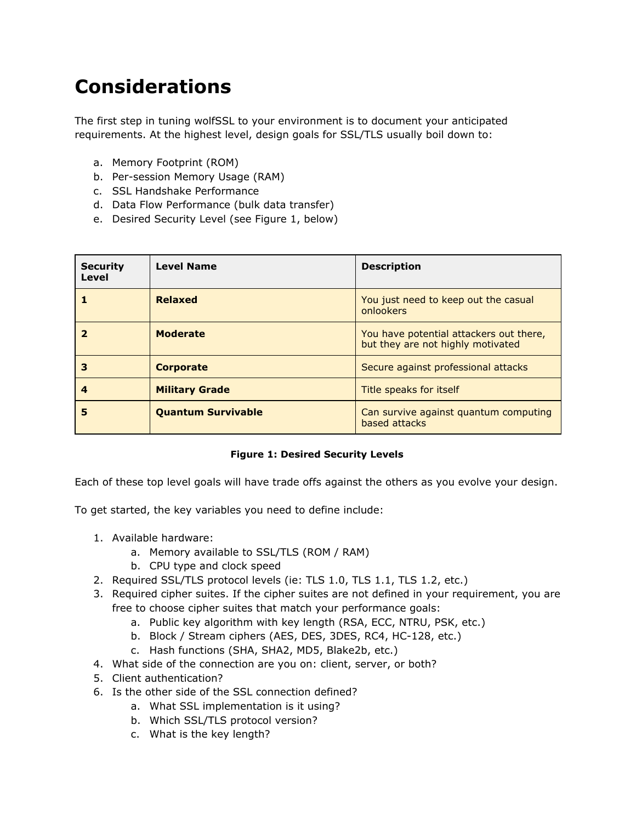# **Considerations**

The first step in tuning wolfSSL to your environment is to document your anticipated requirements. At the highest level, design goals for SSL/TLS usually boil down to:

- a. Memory Footprint (ROM)
- b. Per-session Memory Usage (RAM)
- c. SSL Handshake Performance
- d. Data Flow Performance (bulk data transfer)
- e. Desired Security Level (see Figure 1, below)

| <b>Security</b><br>Level | <b>Level Name</b>         | <b>Description</b>                                                           |
|--------------------------|---------------------------|------------------------------------------------------------------------------|
|                          | <b>Relaxed</b>            | You just need to keep out the casual<br>onlookers                            |
|                          | <b>Moderate</b>           | You have potential attackers out there,<br>but they are not highly motivated |
| З                        | <b>Corporate</b>          | Secure against professional attacks                                          |
| 4                        | <b>Military Grade</b>     | Title speaks for itself                                                      |
| 5                        | <b>Quantum Survivable</b> | Can survive against quantum computing<br>based attacks                       |

#### **Figure 1: Desired Security Levels**

Each of these top level goals will have trade offs against the others as you evolve your design.

To get started, the key variables you need to define include:

- 1. Available hardware:
	- a. Memory available to SSL/TLS (ROM / RAM)
	- b. CPU type and clock speed
- 2. Required SSL/TLS protocol levels (ie: TLS 1.0, TLS 1.1, TLS 1.2, etc.)
- 3. Required cipher suites. If the cipher suites are not defined in your requirement, you are free to choose cipher suites that match your performance goals:
	- a. Public key algorithm with key length (RSA, ECC, NTRU, PSK, etc.)
	- b. Block / Stream ciphers (AES, DES, 3DES, RC4, HC-128, etc.)
	- c. Hash functions (SHA, SHA2, MD5, Blake2b, etc.)
- 4. What side of the connection are you on: client, server, or both?
- 5. Client authentication?
- 6. Is the other side of the SSL connection defined?
	- a. What SSL implementation is it using?
	- b. Which SSL/TLS protocol version?
	- c. What is the key length?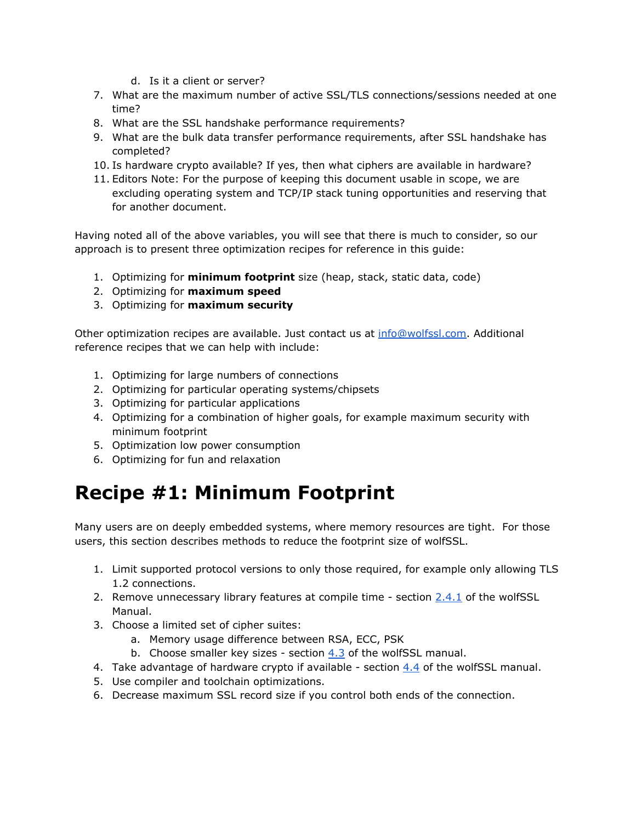- d. Is it a client or server?
- 7. What are the maximum number of active SSL/TLS connections/sessions needed at one time?
- 8. What are the SSL handshake performance requirements?
- 9. What are the bulk data transfer performance requirements, after SSL handshake has completed?
- 10. Is hardware crypto available? If yes, then what ciphers are available in hardware?
- 11. Editors Note: For the purpose of keeping this document usable in scope, we are excluding operating system and TCP/IP stack tuning opportunities and reserving that for another document.

Having noted all of the above variables, you will see that there is much to consider, so our approach is to present three optimization recipes for reference in this guide:

- 1. Optimizing for **minimum footprint** size (heap, stack, static data, code)
- 2. Optimizing for **maximum speed**
- 3. Optimizing for **maximum security**

Other optimization recipes are available. Just contact us at [info@wolfssl.com](mailto:info@wolfssl.com). Additional reference recipes that we can help with include:

- 1. Optimizing for large numbers of connections
- 2. Optimizing for particular operating systems/chipsets
- 3. Optimizing for particular applications
- 4. Optimizing for a combination of higher goals, for example maximum security with minimum footprint
- 5. Optimization low power consumption
- 6. Optimizing for fun and relaxation

### **Recipe #1: Minimum Footprint**

Many users are on deeply embedded systems, where memory resources are tight. For those users, this section describes methods to reduce the footprint size of wolfSSL.

- 1. Limit supported protocol versions to only those required, for example only allowing TLS 1.2 connections.
- 2. Remove unnecessary library features at compile time section  $2.4.1$  of the wolfSSL Manual.
- 3. Choose a limited set of cipher suites:
	- a. Memory usage difference between RSA, ECC, PSK
	- b. Choose smaller key sizes section [4.3](https://www.wolfssl.com/wolfSSL/Docs-wolfssl-manual-4-features.html) of the wolfSSL manual.
- 4. Take advantage of hardware crypto if available section [4.4](https://www.wolfssl.com/wolfSSL/Docs-wolfssl-manual-4-features.html) of the wolfSSL manual.
- 5. Use compiler and toolchain optimizations.
- 6. Decrease maximum SSL record size if you control both ends of the connection.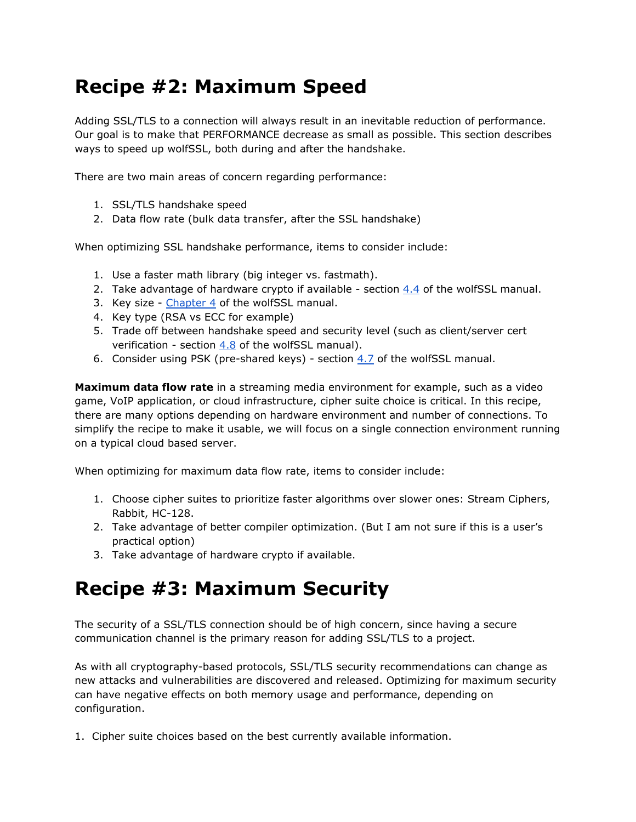# **Recipe #2: Maximum Speed**

Adding SSL/TLS to a connection will always result in an inevitable reduction of performance. Our goal is to make that PERFORMANCE decrease as small as possible. This section describes ways to speed up wolfSSL, both during and after the handshake.

There are two main areas of concern regarding performance:

- 1. SSL/TLS handshake speed
- 2. Data flow rate (bulk data transfer, after the SSL handshake)

When optimizing SSL handshake performance, items to consider include:

- 1. Use a faster math library (big integer vs. fastmath).
- 2. Take advantage of hardware crypto if available section  $4.4$  of the wolfSSL manual.
- 3. Key size [Chapter](https://www.wolfssl.com/wolfSSL/Docs-wolfssl-manual-4-features.html) 4 of the wolfSSL manual.
- 4. Key type (RSA vs ECC for example)
- 5. Trade off between handshake speed and security level (such as client/server cert verification - section [4.8](https://www.wolfssl.com/wolfSSL/Docs-wolfssl-manual-4-features.html) of the wolfSSL manual).
- 6. Consider using PSK (pre-shared keys) section  $4.7$  of the wolfSSL manual.

**Maximum data flow rate**in a streaming media environment for example, such as a video game, VoIP application, or cloud infrastructure, cipher suite choice is critical. In this recipe, there are many options depending on hardware environment and number of connections. To simplify the recipe to make it usable, we will focus on a single connection environment running on a typical cloud based server.

When optimizing for maximum data flow rate, items to consider include:

- 1. Choose cipher suites to prioritize faster algorithms over slower ones: Stream Ciphers, Rabbit, HC-128.
- 2. Take advantage of better compiler optimization. (But I am not sure if this is a user's practical option)
- 3. Take advantage of hardware crypto if available.

# **Recipe #3: Maximum Security**

The security of a SSL/TLS connection should be of high concern, since having a secure communication channel is the primary reason for adding SSL/TLS to a project.

As with all cryptography-based protocols, SSL/TLS security recommendations can change as new attacks and vulnerabilities are discovered and released. Optimizing for maximum security can have negative effects on both memory usage and performance, depending on configuration.

1. Cipher suite choices based on the best currently available information.